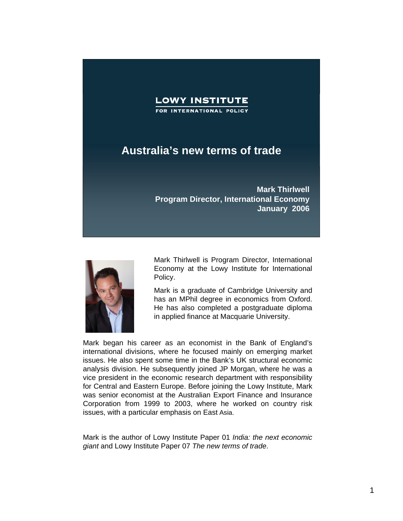

## **Australia's new terms of trade**

**Mark Thirlwell Program Director, International Economy January 2006**



Mark Thirlwell is Program Director, International Economy at the Lowy Institute for International Policy.

Mark is a graduate of Cambridge University and has an MPhil degree in economics from Oxford. He has also completed a postgraduate diploma in applied finance at Macquarie University.

Mark began his career as an economist in the Bank of England's international divisions, where he focused mainly on emerging market issues. He also spent some time in the Bank's UK structural economic analysis division. He subsequently joined JP Morgan, where he was a vice president in the economic research department with responsibility for Central and Eastern Europe. Before joining the Lowy Institute, Mark was senior economist at the Australian Export Finance and Insurance Corporation from 1999 to 2003, where he worked on country risk issues, with a particular emphasis on East Asia.

Mark is the author of Lowy Institute Paper 01 *India: the next economic giant* and Lowy Institute Paper 07 *The new terms of trade*.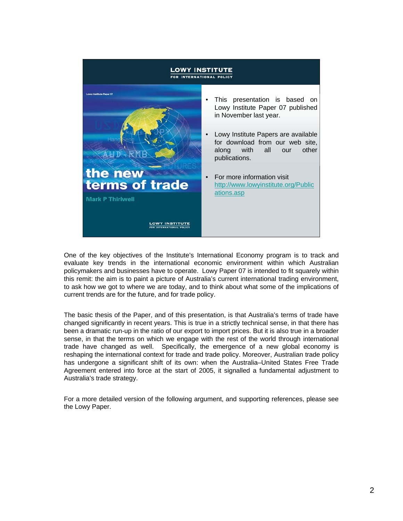

One of the key objectives of the Institute's International Economy program is to track and evaluate key trends in the international economic environment within which Australian policymakers and businesses have to operate. Lowy Paper 07 is intended to fit squarely within this remit: the aim is to paint a picture of Australia's current international trading environment, to ask how we got to where we are today, and to think about what some of the implications of current trends are for the future, and for trade policy.

The basic thesis of the Paper, and of this presentation, is that Australia's terms of trade have changed significantly in recent years. This is true in a strictly technical sense, in that there has been a dramatic run-up in the ratio of our export to import prices. But it is also true in a broader sense, in that the terms on which we engage with the rest of the world through international trade have changed as well. Specifically, the emergence of a new global economy is reshaping the international context for trade and trade policy. Moreover, Australian trade policy has undergone a significant shift of its own: when the Australia–United States Free Trade Agreement entered into force at the start of 2005, it signalled a fundamental adjustment to Australia's trade strategy.

For a more detailed version of the following argument, and supporting references, please see the Lowy Paper.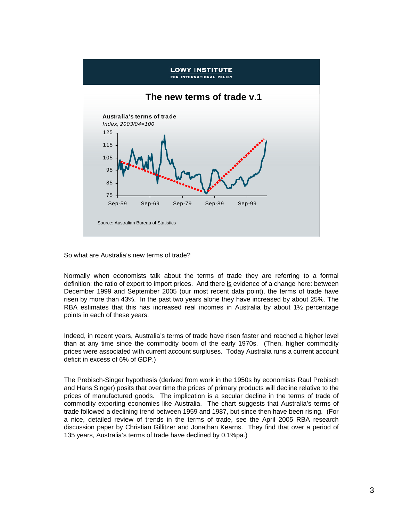

So what are Australia's new terms of trade?

Normally when economists talk about the terms of trade they are referring to a formal definition: the ratio of export to import prices. And there is evidence of a change here: between December 1999 and September 2005 (our most recent data point), the terms of trade have risen by more than 43%. In the past two years alone they have increased by about 25%. The RBA estimates that this has increased real incomes in Australia by about 1½ percentage points in each of these years.

Indeed, in recent years, Australia's terms of trade have risen faster and reached a higher level than at any time since the commodity boom of the early 1970s. (Then, higher commodity prices were associated with current account surpluses. Today Australia runs a current account deficit in excess of 6% of GDP.)

The Prebisch-Singer hypothesis (derived from work in the 1950s by economists Raul Prebisch and Hans Singer) posits that over time the prices of primary products will decline relative to the prices of manufactured goods. The implication is a secular decline in the terms of trade of commodity exporting economies like Australia. The chart suggests that Australia's terms of trade followed a declining trend between 1959 and 1987, but since then have been rising. (For a nice, detailed review of trends in the terms of trade, see the April 2005 RBA research discussion paper by Christian Gillitzer and Jonathan Kearns. They find that over a period of 135 years, Australia's terms of trade have declined by 0.1%pa.)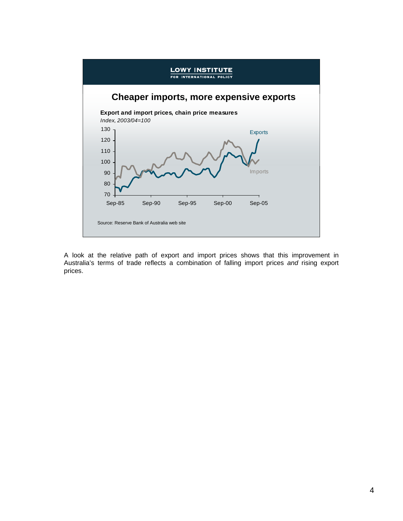

A look at the relative path of export and import prices shows that this improvement in Australia's terms of trade reflects a combination of falling import prices *and* rising export prices.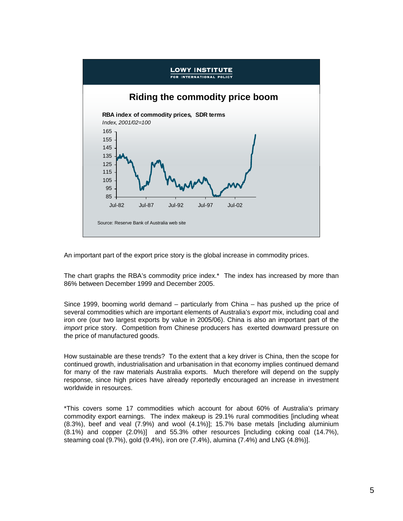

An important part of the export price story is the global increase in commodity prices.

The chart graphs the RBA's commodity price index.\* The index has increased by more than 86% between December 1999 and December 2005.

Since 1999, booming world demand – particularly from China – has pushed up the price of several commodities which are important elements of Australia's *export* mix, including coal and iron ore (our two largest exports by value in 2005/06). China is also an important part of the *import* price story. Competition from Chinese producers has exerted downward pressure on the price of manufactured goods.

How sustainable are these trends? To the extent that a key driver is China, then the scope for continued growth, industrialisation and urbanisation in that economy implies continued demand for many of the raw materials Australia exports. Much therefore will depend on the supply response, since high prices have already reportedly encouraged an increase in investment worldwide in resources.

\*This covers some 17 commodities which account for about 60% of Australia's primary commodity export earnings. The index makeup is 29.1% rural commodities [including wheat (8.3%), beef and veal (7.9%) and wool (4.1%)]; 15.7% base metals [including aluminium (8.1%) and copper (2.0%)] and 55.3% other resources [including coking coal (14.7%), steaming coal (9.7%), gold (9.4%), iron ore (7.4%), alumina (7.4%) and LNG (4.8%)].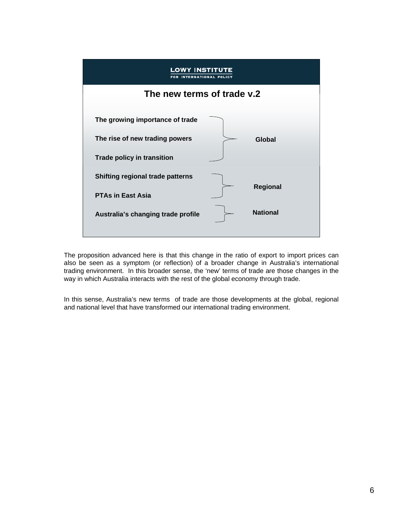

The proposition advanced here is that this change in the ratio of export to import prices can also be seen as a symptom (or reflection) of a broader change in Australia's international trading environment. In this broader sense, the 'new' terms of trade are those changes in the way in which Australia interacts with the rest of the global economy through trade.

In this sense, Australia's new terms of trade are those developments at the global, regional and national level that have transformed our international trading environment.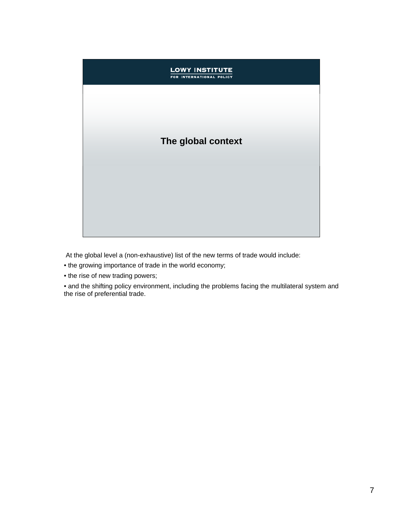## **LOWY INSTITUTE** FOR INTERNATIONAL POLICY **The global context**

At the global level a (non-exhaustive) list of the new terms of trade would include:

- the growing importance of trade in the world economy;
- the rise of new trading powers;

• and the shifting policy environment, including the problems facing the multilateral system and the rise of preferential trade.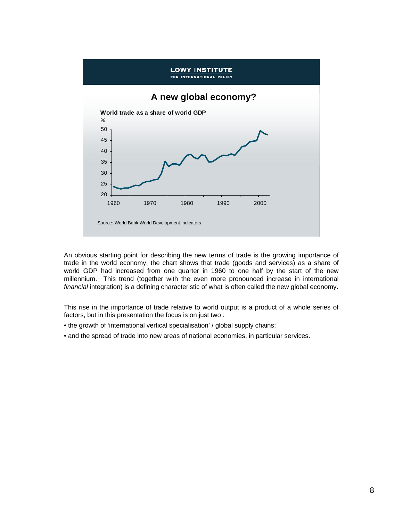

An obvious starting point for describing the new terms of trade is the growing importance of trade in the world economy: the chart shows that trade (goods and services) as a share of world GDP had increased from one quarter in 1960 to one half by the start of the new millennium. This trend (together with the even more pronounced increase in international *financial* integration) is a defining characteristic of what is often called the new global economy.

This rise in the importance of trade relative to world output is a product of a whole series of factors, but in this presentation the focus is on just two :

- the growth of 'international vertical specialisation' / global supply chains;
- and the spread of trade into new areas of national economies, in particular services.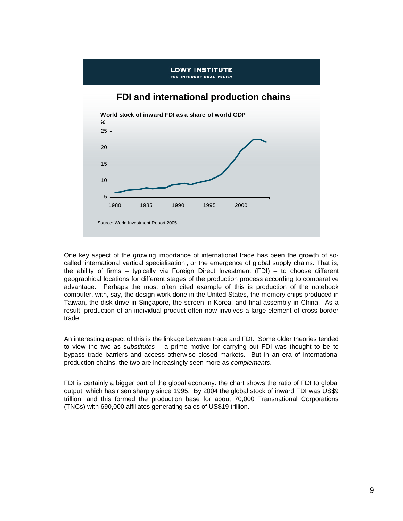

One key aspect of the growing importance of international trade has been the growth of socalled 'international vertical specialisation', or the emergence of global supply chains. That is, the ability of firms – typically via Foreign Direct Investment (FDI) – to choose different geographical locations for different stages of the production process according to comparative advantage. Perhaps the most often cited example of this is production of the notebook computer, with, say, the design work done in the United States, the memory chips produced in Taiwan, the disk drive in Singapore, the screen in Korea, and final assembly in China. As a result, production of an individual product often now involves a large element of cross-border trade.

An interesting aspect of this is the linkage between trade and FDI. Some older theories tended to view the two as *substitutes* – a prime motive for carrying out FDI was thought to be to bypass trade barriers and access otherwise closed markets. But in an era of international production chains, the two are increasingly seen more as *complements*.

FDI is certainly a bigger part of the global economy: the chart shows the ratio of FDI to global output, which has risen sharply since 1995. By 2004 the global stock of inward FDI was US\$9 trillion, and this formed the production base for about 70,000 Transnational Corporations (TNCs) with 690,000 affiliates generating sales of US\$19 trillion.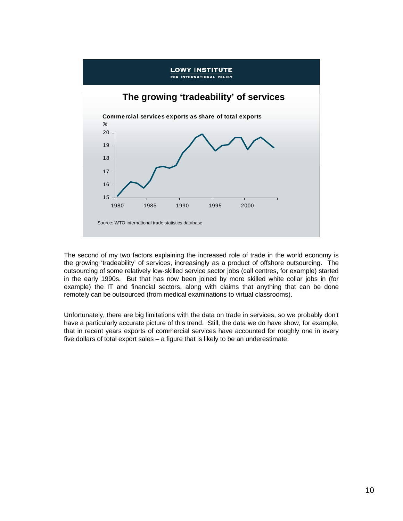

The second of my two factors explaining the increased role of trade in the world economy is the growing 'tradeability' of services, increasingly as a product of offshore outsourcing. The outsourcing of some relatively low-skilled service sector jobs (call centres, for example) started in the early 1990s. But that has now been joined by more skilled white collar jobs in (for example) the IT and financial sectors, along with claims that anything that can be done remotely can be outsourced (from medical examinations to virtual classrooms).

Unfortunately, there are big limitations with the data on trade in services, so we probably don't have a particularly accurate picture of this trend. Still, the data we do have show, for example, that in recent years exports of commercial services have accounted for roughly one in every five dollars of total export sales – a figure that is likely to be an underestimate.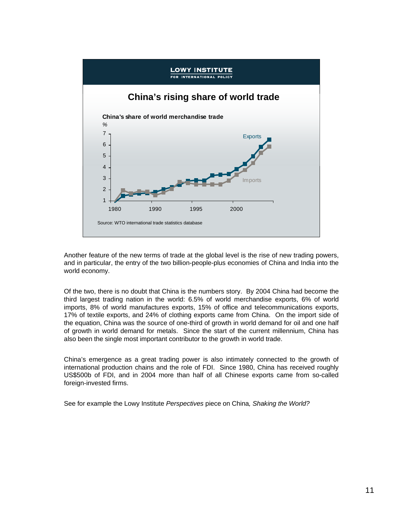

Another feature of the new terms of trade at the global level is the rise of new trading powers, and in particular, the entry of the two billion-people-plus economies of China and India into the world economy.

Of the two, there is no doubt that China is the numbers story. By 2004 China had become the third largest trading nation in the world: 6.5% of world merchandise exports, 6% of world imports, 8% of world manufactures exports, 15% of office and telecommunications exports, 17% of textile exports, and 24% of clothing exports came from China. On the import side of the equation, China was the source of one-third of growth in world demand for oil and one half of growth in world demand for metals. Since the start of the current millennium, China has also been the single most important contributor to the growth in world trade.

China's emergence as a great trading power is also intimately connected to the growth of international production chains and the role of FDI. Since 1980, China has received roughly US\$500b of FDI, and in 2004 more than half of all Chinese exports came from so-called foreign-invested firms.

See for example the Lowy Institute *Perspectives* piece on China*, Shaking the World?*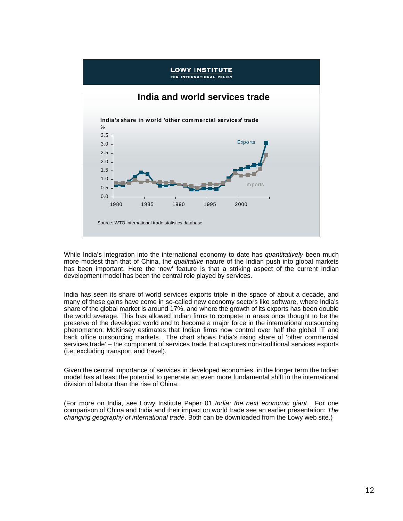

While India's integration into the international economy to date has *quantitatively* been much more modest than that of China, the *qualitative* nature of the Indian push into global markets has been important. Here the 'new' feature is that a striking aspect of the current Indian development model has been the central role played by services.

India has seen its share of world services exports triple in the space of about a decade, and many of these gains have come in so-called new economy sectors like software, where India's share of the global market is around 17%, and where the growth of its exports has been double the world average. This has allowed Indian firms to compete in areas once thought to be the preserve of the developed world and to become a major force in the international outsourcing phenomenon: McKinsey estimates that Indian firms now control over half the global IT and back office outsourcing markets. The chart shows India's rising share of 'other commercial services trade' – the component of services trade that captures non-traditional services exports (i.e. excluding transport and travel).

Given the central importance of services in developed economies, in the longer term the Indian model has at least the potential to generate an even more fundamental shift in the international division of labour than the rise of China.

(For more on India, see Lowy Institute Paper 01 *India: the next economic giant*. For one comparison of China and India and their impact on world trade see an earlier presentation: *The changing geography of international trade*. Both can be downloaded from the Lowy web site.)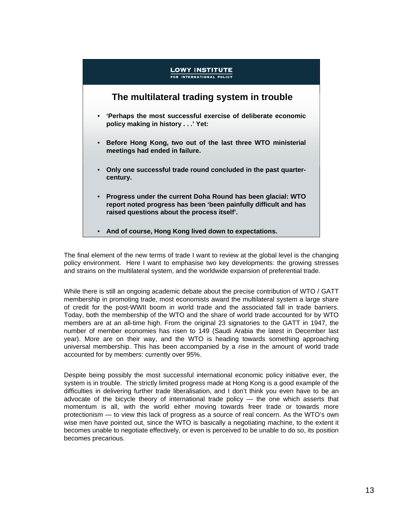

The final element of the new terms of trade I want to review at the global level is the changing policy environment. Here I want to emphasise two key developments: the growing stresses and strains on the multilateral system, and the worldwide expansion of preferential trade.

While there is still an ongoing academic debate about the precise contribution of WTO / GATT membership in promoting trade, most economists award the multilateral system a large share of credit for the post-WWII boom in world trade and the associated fall in trade barriers. Today, both the membership of the WTO and the share of world trade accounted for by WTO members are at an all-time high. From the original 23 signatories to the GATT in 1947, the number of member economies has risen to 149 (Saudi Arabia the latest in December last year). More are on their way, and the WTO is heading towards something approaching universal membership. This has been accompanied by a rise in the amount of world trade accounted for by members: currently over 95%.

Despite being possibly the most successful international economic policy initiative ever, the system is in trouble. The strictly limited progress made at Hong Kong is a good example of the difficulties in delivering further trade liberalisation, and I don't think you even have to be an advocate of the bicycle theory of international trade policy — the one which asserts that momentum is all, with the world either moving towards freer trade or towards more protectionism — to view this lack of progress as a source of real concern. As the WTO's own wise men have pointed out, since the WTO is basically a negotiating machine, to the extent it becomes unable to negotiate effectively, or even is perceived to be unable to do so, its position becomes precarious.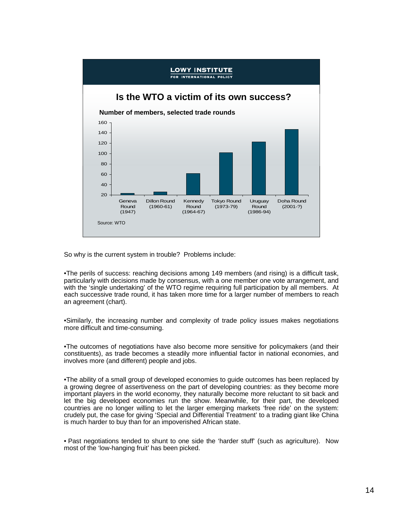

So why is the current system in trouble? Problems include:

•The perils of success: reaching decisions among 149 members (and rising) is a difficult task, particularly with decisions made by consensus, with a one member one vote arrangement, and with the 'single undertaking' of the WTO regime requiring full participation by all members. At each successive trade round, it has taken more time for a larger number of members to reach an agreement (chart).

•Similarly, the increasing number and complexity of trade policy issues makes negotiations more difficult and time-consuming.

•The outcomes of negotiations have also become more sensitive for policymakers (and their constituents), as trade becomes a steadily more influential factor in national economies, and involves more (and different) people and jobs.

•The ability of a small group of developed economies to guide outcomes has been replaced by a growing degree of assertiveness on the part of developing countries: as they become more important players in the world economy, they naturally become more reluctant to sit back and let the big developed economies run the show. Meanwhile, for their part, the developed countries are no longer willing to let the larger emerging markets 'free ride' on the system: crudely put, the case for giving 'Special and Differential Treatment' to a trading giant like China is much harder to buy than for an impoverished African state.

• Past negotiations tended to shunt to one side the 'harder stuff' (such as agriculture). Now most of the 'low-hanging fruit' has been picked.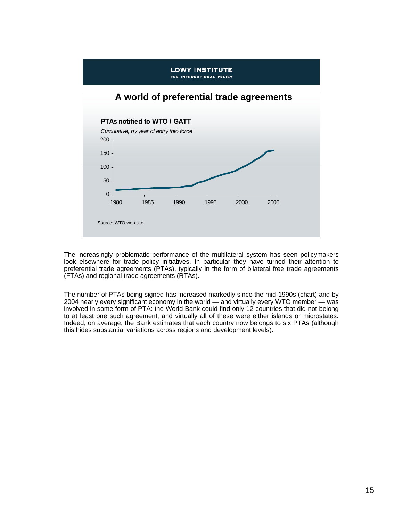

The increasingly problematic performance of the multilateral system has seen policymakers look elsewhere for trade policy initiatives. In particular they have turned their attention to preferential trade agreements (PTAs), typically in the form of bilateral free trade agreements (FTAs) and regional trade agreements (RTAs).

The number of PTAs being signed has increased markedly since the mid-1990s (chart) and by 2004 nearly every significant economy in the world — and virtually every WTO member — was involved in some form of PTA: the World Bank could find only 12 countries that did not belong to at least one such agreement, and virtually all of these were either islands or microstates. Indeed, on average, the Bank estimates that each country now belongs to six PTAs (although this hides substantial variations across regions and development levels).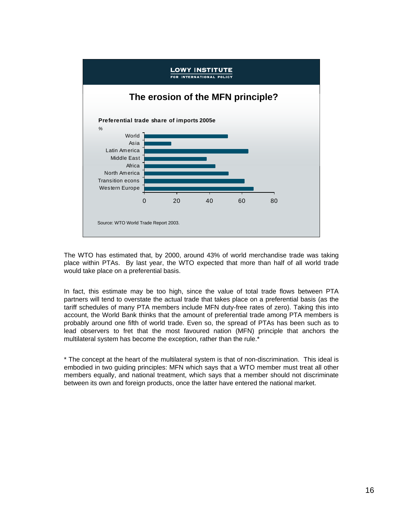

The WTO has estimated that, by 2000, around 43% of world merchandise trade was taking place within PTAs. By last year, the WTO expected that more than half of all world trade would take place on a preferential basis.

In fact, this estimate may be too high, since the value of total trade flows between PTA partners will tend to overstate the actual trade that takes place on a preferential basis (as the tariff schedules of many PTA members include MFN duty-free rates of zero). Taking this into account, the World Bank thinks that the amount of preferential trade among PTA members is probably around one fifth of world trade. Even so, the spread of PTAs has been such as to lead observers to fret that the most favoured nation (MFN) principle that anchors the multilateral system has become the exception, rather than the rule.\*

\* The concept at the heart of the multilateral system is that of non-discrimination. This ideal is embodied in two guiding principles: MFN which says that a WTO member must treat all other members equally, and national treatment, which says that a member should not discriminate between its own and foreign products, once the latter have entered the national market.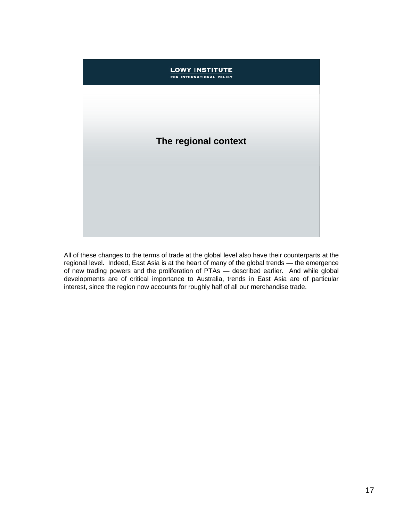## **LOWY INSTITUTE** FOR INTERNATIONAL POLICY **The regional context**

All of these changes to the terms of trade at the global level also have their counterparts at the regional level. Indeed, East Asia is at the heart of many of the global trends — the emergence of new trading powers and the proliferation of PTAs — described earlier. And while global developments are of critical importance to Australia, trends in East Asia are of particular interest, since the region now accounts for roughly half of all our merchandise trade.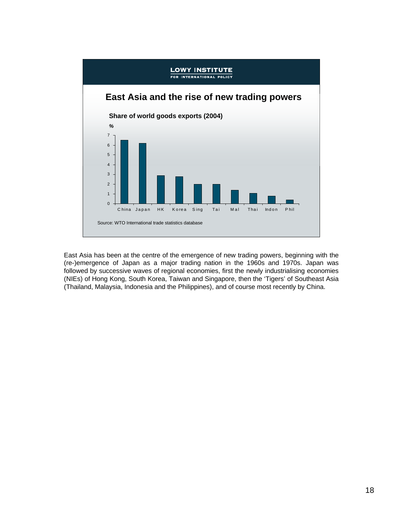

East Asia has been at the centre of the emergence of new trading powers, beginning with the (re-)emergence of Japan as a major trading nation in the 1960s and 1970s. Japan was followed by successive waves of regional economies, first the newly industrialising economies (NIEs) of Hong Kong, South Korea, Taiwan and Singapore, then the 'Tigers' of Southeast Asia (Thailand, Malaysia, Indonesia and the Philippines), and of course most recently by China.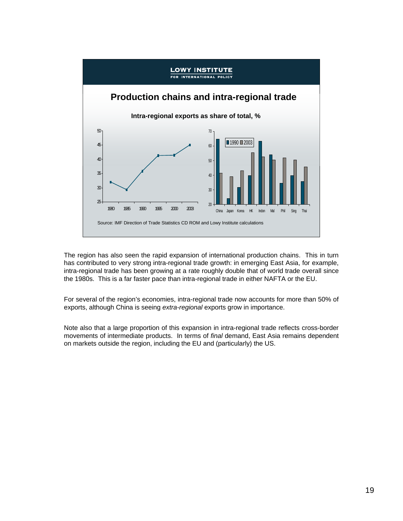

The region has also seen the rapid expansion of international production chains. This in turn has contributed to very strong intra-regional trade growth: in emerging East Asia, for example, intra-regional trade has been growing at a rate roughly double that of world trade overall since the 1980s. This is a far faster pace than intra-regional trade in either NAFTA or the EU.

For several of the region's economies, intra-regional trade now accounts for more than 50% of exports, although China is seeing *extra-regional* exports grow in importance.

Note also that a large proportion of this expansion in intra-regional trade reflects cross-border movements of intermediate products. In terms of *final* demand, East Asia remains dependent on markets outside the region, including the EU and (particularly) the US.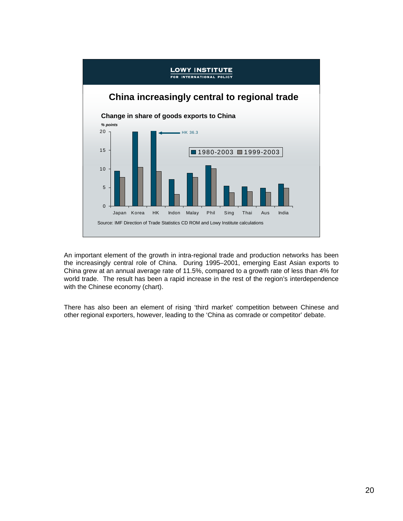

An important element of the growth in intra-regional trade and production networks has been the increasingly central role of China. During 1995–2001, emerging East Asian exports to China grew at an annual average rate of 11.5%, compared to a growth rate of less than 4% for world trade. The result has been a rapid increase in the rest of the region's interdependence with the Chinese economy (chart).

There has also been an element of rising 'third market' competition between Chinese and other regional exporters, however, leading to the 'China as comrade or competitor' debate.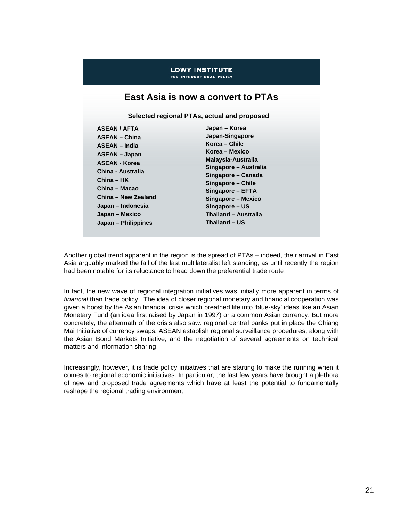### **LOWY INSTITUTE** FOR INTERNATIONAL POLICY

## **East Asia is now a convert to PTAs**

**Selected regional PTAs, actual and proposed**

| <b>ASEAN / AFTA</b>  |
|----------------------|
| <b>ASEAN - China</b> |
| <b>ASEAN - India</b> |
| <b>ASEAN - Japan</b> |
| <b>ASEAN - Korea</b> |
| China - Australia    |
| China – HK           |
| China – Macao        |
| China - New Zealand  |
| Japan – Indonesia    |
| Japan – Mexico       |
| Japan – Philippines  |
|                      |

**Japan – Korea Japan-Singapore Korea – Chile Korea – Mexico Malaysia-Australia Singapore – Australia Singapore – Canada Singapore – Chile Singapore – EFTA Singapore – Mexico Singapore – US Thailand – Australia Thailand – US**

Another global trend apparent in the region is the spread of PTAs – indeed, their arrival in East Asia arguably marked the fall of the last multilateralist left standing, as until recently the region had been notable for its reluctance to head down the preferential trade route.

In fact, the new wave of regional integration initiatives was initially more apparent in terms of *financial* than trade policy. The idea of closer regional monetary and financial cooperation was given a boost by the Asian financial crisis which breathed life into 'blue-sky' ideas like an Asian Monetary Fund (an idea first raised by Japan in 1997) or a common Asian currency. But more concretely, the aftermath of the crisis also saw: regional central banks put in place the Chiang Mai Initiative of currency swaps; ASEAN establish regional surveillance procedures, along with the Asian Bond Markets Initiative; and the negotiation of several agreements on technical matters and information sharing.

Increasingly, however, it is trade policy initiatives that are starting to make the running when it comes to regional economic initiatives. In particular, the last few years have brought a plethora of new and proposed trade agreements which have at least the potential to fundamentally reshape the regional trading environment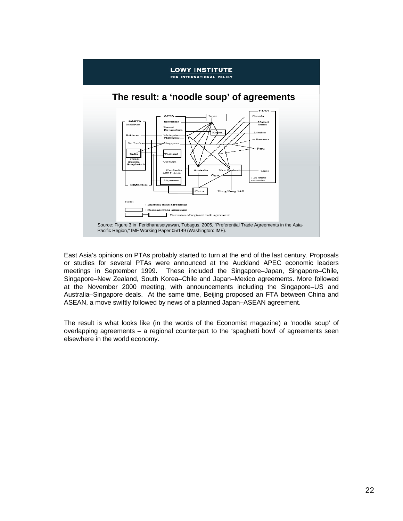

East Asia's opinions on PTAs probably started to turn at the end of the last century. Proposals or studies for several PTAs were announced at the Auckland APEC economic leaders meetings in September 1999. These included the Singapore–Japan, Singapore–Chile, Singapore–New Zealand, South Korea–Chile and Japan–Mexico agreements. More followed at the November 2000 meeting, with announcements including the Singapore–US and Australia–Singapore deals. At the same time, Beijing proposed an FTA between China and ASEAN, a move swiftly followed by news of a planned Japan–ASEAN agreement.

The result is what looks like (in the words of the Economist magazine) a 'noodle soup' of overlapping agreements – a regional counterpart to the 'spaghetti bowl' of agreements seen elsewhere in the world economy.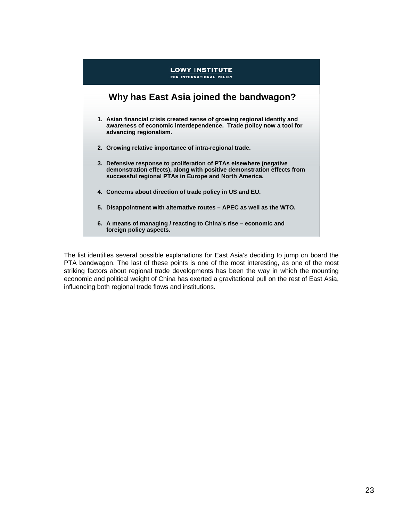

The list identifies several possible explanations for East Asia's deciding to jump on board the PTA bandwagon. The last of these points is one of the most interesting, as one of the most striking factors about regional trade developments has been the way in which the mounting economic and political weight of China has exerted a gravitational pull on the rest of East Asia, influencing both regional trade flows and institutions.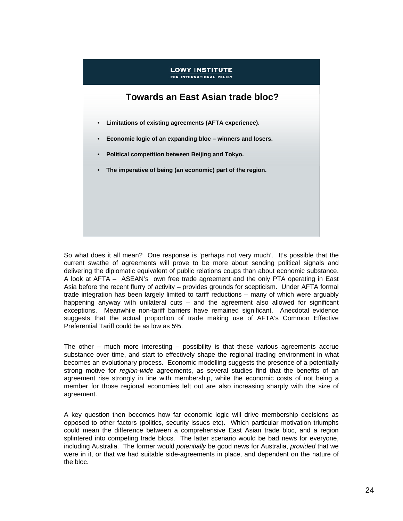## **LOWY INSTITUTE** INTERNATIONAL POLICY

## **Towards an East Asian trade bloc?**

- **Limitations of existing agreements (AFTA experience).**
- **Economic logic of an expanding bloc winners and losers.**
- **Political competition between Beijing and Tokyo.**
- **The imperative of being (an economic) part of the region.**

So what does it all mean? One response is 'perhaps not very much'. It's possible that the current swathe of agreements will prove to be more about sending political signals and delivering the diplomatic equivalent of public relations coups than about economic substance. A look at AFTA – ASEAN's own free trade agreement and the only PTA operating in East Asia before the recent flurry of activity – provides grounds for scepticism. Under AFTA formal trade integration has been largely limited to tariff reductions – many of which were arguably happening anyway with unilateral cuts  $-$  and the agreement also allowed for significant exceptions. Meanwhile non-tariff barriers have remained significant. Anecdotal evidence suggests that the actual proportion of trade making use of AFTA's Common Effective Preferential Tariff could be as low as 5%.

The other – much more interesting – possibility is that these various agreements accrue substance over time, and start to effectively shape the regional trading environment in what becomes an evolutionary process. Economic modelling suggests the presence of a potentially strong motive for *region-wide* agreements, as several studies find that the benefits of an agreement rise strongly in line with membership, while the economic costs of not being a member for those regional economies left out are also increasing sharply with the size of agreement.

A key question then becomes how far economic logic will drive membership decisions as opposed to other factors (politics, security issues etc). Which particular motivation triumphs could mean the difference between a comprehensive East Asian trade bloc, and a region splintered into competing trade blocs. The latter scenario would be bad news for everyone, including Australia. The former would *potentially* be good news for Australia, *provided* that we were in it, or that we had suitable side-agreements in place, and dependent on the nature of the bloc.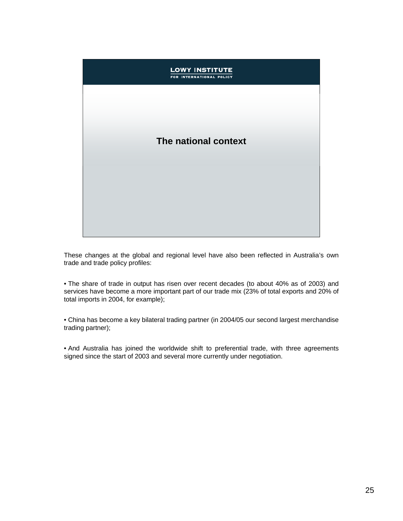## **LOWY INSTITUTE** FOR INTERNATIONAL POLICY **The national context**

These changes at the global and regional level have also been reflected in Australia's own trade and trade policy profiles:

• The share of trade in output has risen over recent decades (to about 40% as of 2003) and services have become a more important part of our trade mix (23% of total exports and 20% of total imports in 2004, for example);

• China has become a key bilateral trading partner (in 2004/05 our second largest merchandise trading partner);

• And Australia has joined the worldwide shift to preferential trade, with three agreements signed since the start of 2003 and several more currently under negotiation.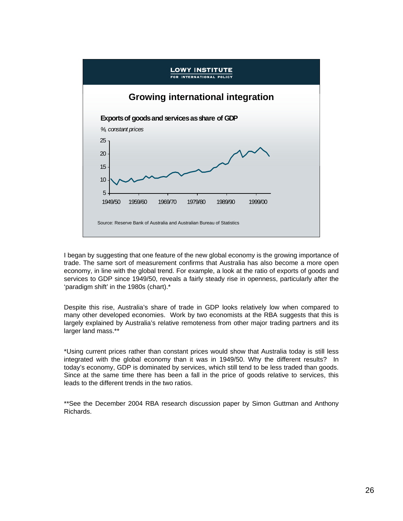

I began by suggesting that one feature of the new global economy is the growing importance of trade. The same sort of measurement confirms that Australia has also become a more open economy, in line with the global trend. For example, a look at the ratio of exports of goods and services to GDP since 1949/50, reveals a fairly steady rise in openness, particularly after the 'paradigm shift' in the 1980s (chart).\*

Despite this rise, Australia's share of trade in GDP looks relatively low when compared to many other developed economies. Work by two economists at the RBA suggests that this is largely explained by Australia's relative remoteness from other major trading partners and its larger land mass.\*\*

\*Using current prices rather than constant prices would show that Australia today is still less integrated with the global economy than it was in 1949/50. Why the different results? In today's economy, GDP is dominated by services, which still tend to be less traded than goods. Since at the same time there has been a fall in the price of goods relative to services, this leads to the different trends in the two ratios.

\*\*See the December 2004 RBA research discussion paper by Simon Guttman and Anthony Richards.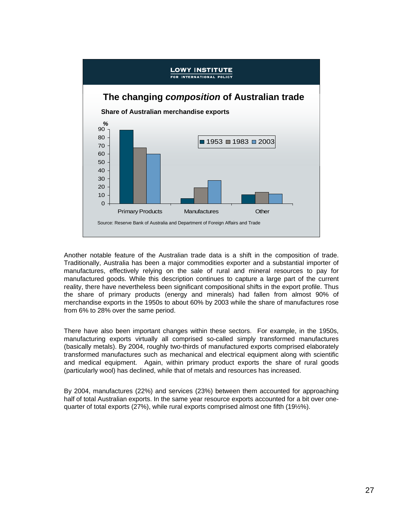

Another notable feature of the Australian trade data is a shift in the composition of trade. Traditionally, Australia has been a major commodities exporter and a substantial importer of manufactures, effectively relying on the sale of rural and mineral resources to pay for manufactured goods. While this description continues to capture a large part of the current reality, there have nevertheless been significant compositional shifts in the export profile. Thus the share of primary products (energy and minerals) had fallen from almost 90% of merchandise exports in the 1950s to about 60% by 2003 while the share of manufactures rose from 6% to 28% over the same period.

There have also been important changes within these sectors. For example, in the 1950s, manufacturing exports virtually all comprised so-called simply transformed manufactures (basically metals). By 2004, roughly two-thirds of manufactured exports comprised elaborately transformed manufactures such as mechanical and electrical equipment along with scientific and medical equipment. Again, within primary product exports the share of rural goods (particularly wool) has declined, while that of metals and resources has increased.

By 2004, manufactures (22%) and services (23%) between them accounted for approaching half of total Australian exports. In the same year resource exports accounted for a bit over onequarter of total exports (27%), while rural exports comprised almost one fifth (19½%).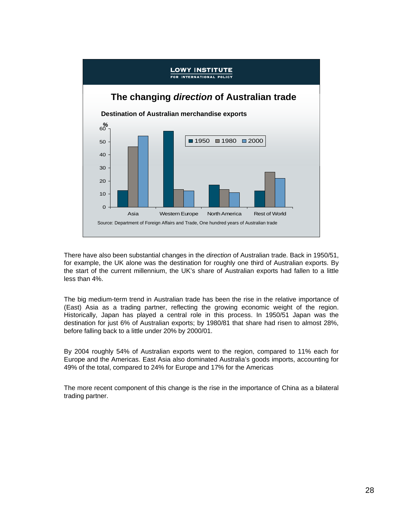

There have also been substantial changes in the *direction* of Australian trade. Back in 1950/51, for example, the UK alone was the destination for roughly one third of Australian exports. By the start of the current millennium, the UK's share of Australian exports had fallen to a little less than 4%.

The big medium-term trend in Australian trade has been the rise in the relative importance of (East) Asia as a trading partner, reflecting the growing economic weight of the region. Historically, Japan has played a central role in this process. In 1950/51 Japan was the destination for just 6% of Australian exports; by 1980/81 that share had risen to almost 28%, before falling back to a little under 20% by 2000/01.

By 2004 roughly 54% of Australian exports went to the region, compared to 11% each for Europe and the Americas. East Asia also dominated Australia's goods imports, accounting for 49% of the total, compared to 24% for Europe and 17% for the Americas

The more recent component of this change is the rise in the importance of China as a bilateral trading partner.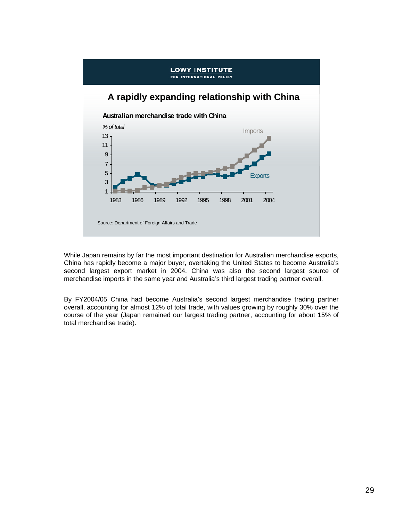

While Japan remains by far the most important destination for Australian merchandise exports, China has rapidly become a major buyer, overtaking the United States to become Australia's second largest export market in 2004. China was also the second largest source of merchandise imports in the same year and Australia's third largest trading partner overall.

By FY2004/05 China had become Australia's second largest merchandise trading partner overall, accounting for almost 12% of total trade, with values growing by roughly 30% over the course of the year (Japan remained our largest trading partner, accounting for about 15% of total merchandise trade).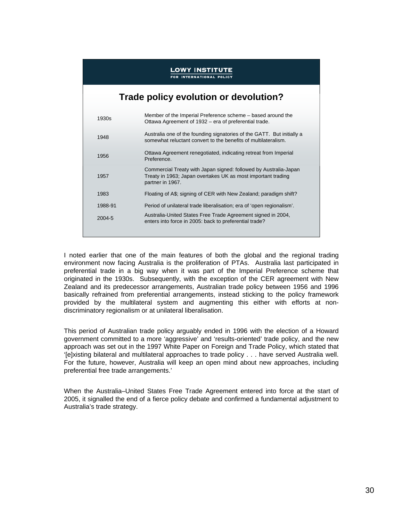### **LOWY INSTITUTE** INTERNATIONAL POLICY

## **Trade policy evolution or devolution?**

| 1930s      | Member of the Imperial Preference scheme – based around the<br>Ottawa Agreement of 1932 - era of preferential trade.                                 |
|------------|------------------------------------------------------------------------------------------------------------------------------------------------------|
| 1948       | Australia one of the founding signatories of the GATT. But initially a<br>somewhat reluctant convert to the benefits of multilateralism.             |
| 1956       | Ottawa Agreement renegotiated, indicating retreat from Imperial<br>Preference.                                                                       |
| 1957       | Commercial Treaty with Japan signed: followed by Australia-Japan<br>Treaty in 1963; Japan overtakes UK as most important trading<br>partner in 1967. |
| 1983       | Floating of A\$; signing of CER with New Zealand; paradigm shift?                                                                                    |
| 1988-91    | Period of unilateral trade liberalisation; era of 'open regionalism'.                                                                                |
| $2004 - 5$ | Australia-United States Free Trade Agreement signed in 2004,<br>enters into force in 2005: back to preferential trade?                               |

I noted earlier that one of the main features of both the global and the regional trading environment now facing Australia is the proliferation of PTAs. Australia last participated in preferential trade in a big way when it was part of the Imperial Preference scheme that originated in the 1930s. Subsequently, with the exception of the CER agreement with New Zealand and its predecessor arrangements, Australian trade policy between 1956 and 1996 basically refrained from preferential arrangements, instead sticking to the policy framework provided by the multilateral system and augmenting this either with efforts at nondiscriminatory regionalism or at unilateral liberalisation.

This period of Australian trade policy arguably ended in 1996 with the election of a Howard government committed to a more 'aggressive' and 'results-oriented' trade policy, and the new approach was set out in the 1997 White Paper on Foreign and Trade Policy, which stated that '[e]xisting bilateral and multilateral approaches to trade policy . . . have served Australia well. For the future, however, Australia will keep an open mind about new approaches, including preferential free trade arrangements.'

When the Australia–United States Free Trade Agreement entered into force at the start of 2005, it signalled the end of a fierce policy debate and confirmed a fundamental adjustment to Australia's trade strategy.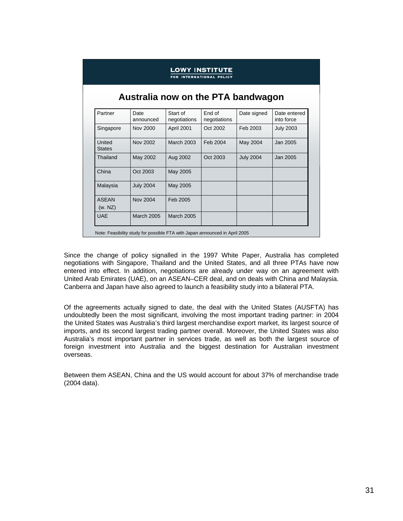| <b>LOWY INSTITUTE</b><br><b>INTERNATIONAL POLICY</b><br>Australia now on the PTA bandwagon |                   |                   |          |                  |                  |  |  |  |
|--------------------------------------------------------------------------------------------|-------------------|-------------------|----------|------------------|------------------|--|--|--|
|                                                                                            |                   |                   |          |                  |                  |  |  |  |
| Singapore                                                                                  | Nov 2000          | April 2001        | Oct 2002 | Feb 2003         | <b>July 2003</b> |  |  |  |
| United<br><b>States</b>                                                                    | Nov 2002          | <b>March 2003</b> | Feb 2004 | May 2004         | Jan 2005         |  |  |  |
| Thailand                                                                                   | May 2002          | Aug 2002          | Oct 2003 | <b>July 2004</b> | Jan 2005         |  |  |  |
| China                                                                                      | Oct 2003          | May 2005          |          |                  |                  |  |  |  |
| Malaysia                                                                                   | <b>July 2004</b>  | May 2005          |          |                  |                  |  |  |  |
| <b>ASFAN</b><br>(w. NZ)                                                                    | Nov 2004          | Feb 2005          |          |                  |                  |  |  |  |
| <b>UAE</b>                                                                                 | <b>March 2005</b> | <b>March 2005</b> |          |                  |                  |  |  |  |

Since the change of policy signalled in the 1997 White Paper, Australia has completed negotiations with Singapore, Thailand and the United States, and all three PTAs have now entered into effect. In addition, negotiations are already under way on an agreement with United Arab Emirates (UAE), on an ASEAN–CER deal, and on deals with China and Malaysia. Canberra and Japan have also agreed to launch a feasibility study into a bilateral PTA.

Of the agreements actually signed to date, the deal with the United States (AUSFTA) has undoubtedly been the most significant, involving the most important trading partner: in 2004 the United States was Australia's third largest merchandise export market, its largest source of imports, and its second largest trading partner overall. Moreover, the United States was also Australia's most important partner in services trade, as well as both the largest source of foreign investment into Australia and the biggest destination for Australian investment overseas.

Between them ASEAN, China and the US would account for about 37% of merchandise trade (2004 data).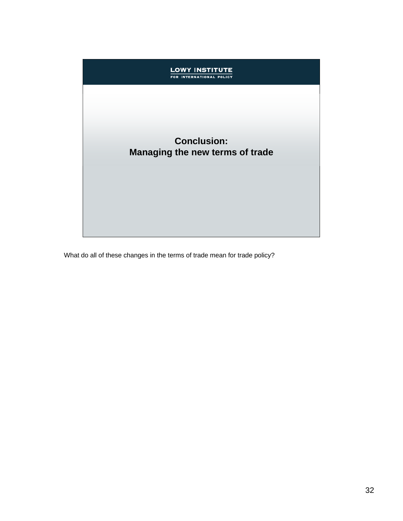# **Conclusion: Managing the new terms of trade**

**LOWY INSTITUTE**<br>FOR INTERNATIONAL POLICY

What do all of these changes in the terms of trade mean for trade policy?